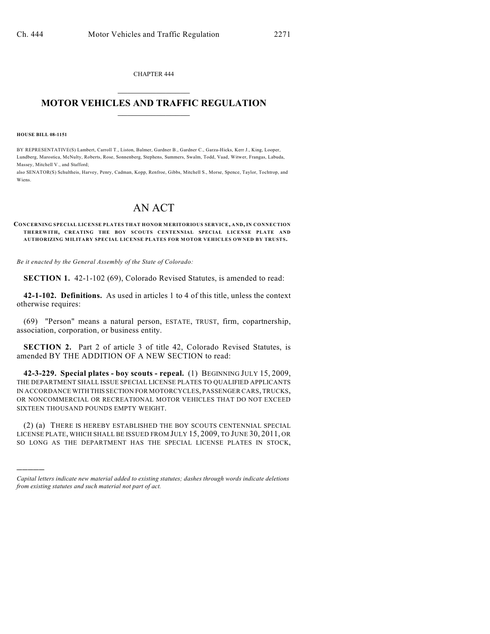CHAPTER 444  $\mathcal{L}_\text{max}$  . The set of the set of the set of the set of the set of the set of the set of the set of the set of the set of the set of the set of the set of the set of the set of the set of the set of the set of the set

## **MOTOR VEHICLES AND TRAFFIC REGULATION**  $\frac{1}{2}$  ,  $\frac{1}{2}$  ,  $\frac{1}{2}$  ,  $\frac{1}{2}$  ,  $\frac{1}{2}$  ,  $\frac{1}{2}$  ,  $\frac{1}{2}$  ,  $\frac{1}{2}$

**HOUSE BILL 08-1151**

)))))

BY REPRESENTATIVE(S) Lambert, Carroll T., Liston, Balmer, Gardner B., Gardner C., Garza-Hicks, Kerr J., King, Looper, Lundberg, Marostica, McNulty, Roberts, Rose, Sonnenberg, Stephens, Summers, Swalm, Todd, Vaad, Witwer, Frangas, Labuda, Massey, Mitchell V., and Stafford;

also SENATOR(S) Schultheis, Harvey, Penry, Cadman, Kopp, Renfroe, Gibbs, Mitchell S., Morse, Spence, Taylor, Tochtrop, and Wiens.

## AN ACT

**CONCERNING SPECIAL LICENSE PLATES THAT HONOR MERITORIOUS SERVICE, AND, IN CONNECTION THEREWITH, CREATING THE BOY SCOUTS CENTENNIAL SPECIAL LICENSE PLATE AND AUTHORIZING MILITARY SPECIAL LICENSE PLATES FOR MOTOR VEHICLES OWNED BY TRUSTS.**

*Be it enacted by the General Assembly of the State of Colorado:*

**SECTION 1.** 42-1-102 (69), Colorado Revised Statutes, is amended to read:

**42-1-102. Definitions.** As used in articles 1 to 4 of this title, unless the context otherwise requires:

(69) "Person" means a natural person, ESTATE, TRUST, firm, copartnership, association, corporation, or business entity.

**SECTION 2.** Part 2 of article 3 of title 42, Colorado Revised Statutes, is amended BY THE ADDITION OF A NEW SECTION to read:

**42-3-229. Special plates - boy scouts - repeal.** (1) BEGINNING JULY 15, 2009, THE DEPARTMENT SHALL ISSUE SPECIAL LICENSE PLATES TO QUALIFIED APPLICANTS IN ACCORDANCE WITH THIS SECTION FOR MOTORCYCLES, PASSENGER CARS, TRUCKS, OR NONCOMMERCIAL OR RECREATIONAL MOTOR VEHICLES THAT DO NOT EXCEED SIXTEEN THOUSAND POUNDS EMPTY WEIGHT.

(2) (a) THERE IS HEREBY ESTABLISHED THE BOY SCOUTS CENTENNIAL SPECIAL LICENSE PLATE, WHICH SHALL BE ISSUED FROM JULY 15, 2009, TO JUNE 30, 2011, OR SO LONG AS THE DEPARTMENT HAS THE SPECIAL LICENSE PLATES IN STOCK,

*Capital letters indicate new material added to existing statutes; dashes through words indicate deletions from existing statutes and such material not part of act.*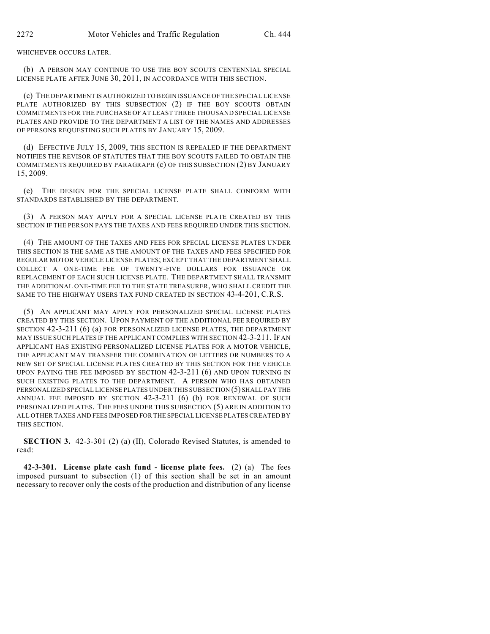WHICHEVER OCCURS LATER.

(b) A PERSON MAY CONTINUE TO USE THE BOY SCOUTS CENTENNIAL SPECIAL LICENSE PLATE AFTER JUNE 30, 2011, IN ACCORDANCE WITH THIS SECTION.

(c) THE DEPARTMENT IS AUTHORIZED TO BEGIN ISSUANCE OF THE SPECIAL LICENSE PLATE AUTHORIZED BY THIS SUBSECTION (2) IF THE BOY SCOUTS OBTAIN COMMITMENTS FOR THE PURCHASE OF AT LEAST THREE THOUSAND SPECIAL LICENSE PLATES AND PROVIDE TO THE DEPARTMENT A LIST OF THE NAMES AND ADDRESSES OF PERSONS REQUESTING SUCH PLATES BY JANUARY 15, 2009.

(d) EFFECTIVE JULY 15, 2009, THIS SECTION IS REPEALED IF THE DEPARTMENT NOTIFIES THE REVISOR OF STATUTES THAT THE BOY SCOUTS FAILED TO OBTAIN THE COMMITMENTS REQUIRED BY PARAGRAPH (c) OF THIS SUBSECTION (2) BY JANUARY 15, 2009.

(e) THE DESIGN FOR THE SPECIAL LICENSE PLATE SHALL CONFORM WITH STANDARDS ESTABLISHED BY THE DEPARTMENT.

(3) A PERSON MAY APPLY FOR A SPECIAL LICENSE PLATE CREATED BY THIS SECTION IF THE PERSON PAYS THE TAXES AND FEES REQUIRED UNDER THIS SECTION.

(4) THE AMOUNT OF THE TAXES AND FEES FOR SPECIAL LICENSE PLATES UNDER THIS SECTION IS THE SAME AS THE AMOUNT OF THE TAXES AND FEES SPECIFIED FOR REGULAR MOTOR VEHICLE LICENSE PLATES; EXCEPT THAT THE DEPARTMENT SHALL COLLECT A ONE-TIME FEE OF TWENTY-FIVE DOLLARS FOR ISSUANCE OR REPLACEMENT OF EACH SUCH LICENSE PLATE. THE DEPARTMENT SHALL TRANSMIT THE ADDITIONAL ONE-TIME FEE TO THE STATE TREASURER, WHO SHALL CREDIT THE SAME TO THE HIGHWAY USERS TAX FUND CREATED IN SECTION 43-4-201, C.R.S.

(5) AN APPLICANT MAY APPLY FOR PERSONALIZED SPECIAL LICENSE PLATES CREATED BY THIS SECTION. UPON PAYMENT OF THE ADDITIONAL FEE REQUIRED BY SECTION 42-3-211 (6) (a) FOR PERSONALIZED LICENSE PLATES, THE DEPARTMENT MAY ISSUE SUCH PLATES IF THE APPLICANT COMPLIES WITH SECTION 42-3-211. IF AN APPLICANT HAS EXISTING PERSONALIZED LICENSE PLATES FOR A MOTOR VEHICLE, THE APPLICANT MAY TRANSFER THE COMBINATION OF LETTERS OR NUMBERS TO A NEW SET OF SPECIAL LICENSE PLATES CREATED BY THIS SECTION FOR THE VEHICLE UPON PAYING THE FEE IMPOSED BY SECTION 42-3-211 (6) AND UPON TURNING IN SUCH EXISTING PLATES TO THE DEPARTMENT. A PERSON WHO HAS OBTAINED PERSONALIZED SPECIAL LICENSE PLATES UNDER THIS SUBSECTION (5) SHALL PAY THE ANNUAL FEE IMPOSED BY SECTION 42-3-211 (6) (b) FOR RENEWAL OF SUCH PERSONALIZED PLATES. THE FEES UNDER THIS SUBSECTION (5) ARE IN ADDITION TO ALL OTHER TAXES AND FEES IMPOSED FOR THE SPECIAL LICENSE PLATES CREATED BY THIS SECTION.

**SECTION 3.** 42-3-301 (2) (a) (II), Colorado Revised Statutes, is amended to read:

**42-3-301. License plate cash fund - license plate fees.** (2) (a) The fees imposed pursuant to subsection (1) of this section shall be set in an amount necessary to recover only the costs of the production and distribution of any license